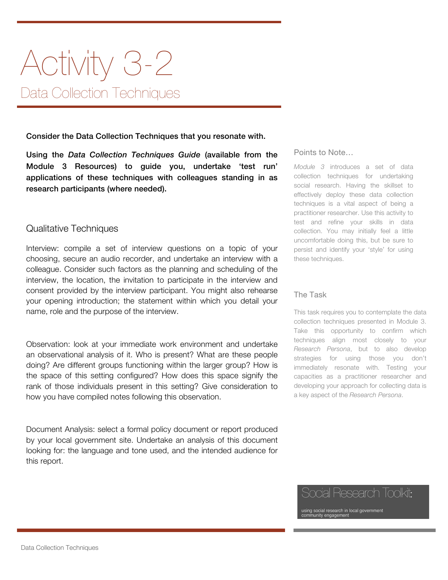# Activity 3-2 Data Collection Techniques

Consider the Data Collection Techniques that you resonate with.

Using the *Data Collection Techniques Guide* (available from the Module 3 Resources) to guide you, undertake 'test run' applications of these techniques with colleagues standing in as research participants (where needed).

### Qualitative Techniques

Interview: compile a set of interview questions on a topic of your choosing, secure an audio recorder, and undertake an interview with a colleague. Consider such factors as the planning and scheduling of the interview, the location, the invitation to participate in the interview and consent provided by the interview participant. You might also rehearse your opening introduction; the statement within which you detail your name, role and the purpose of the interview.

Observation: look at your immediate work environment and undertake an observational analysis of it. Who is present? What are these people doing? Are different groups functioning within the larger group? How is the space of this setting configured? How does this space signify the rank of those individuals present in this setting? Give consideration to how you have compiled notes following this observation.

Document Analysis: select a formal policy document or report produced by your local government site. Undertake an analysis of this document looking for: the language and tone used, and the intended audience for this report.

#### Points to Note…

*Module 3* introduces a set of data collection techniques for undertaking social research. Having the skillset to effectively deploy these data collection techniques is a vital aspect of being a practitioner researcher. Use this activity to test and refine your skills in data collection. You may initially feel a little uncomfortable doing this, but be sure to persist and identify your 'style' for using these techniques.

#### The Task

This task requires you to contemplate the data collection techniques presented in Module 3. Take this opportunity to confirm which techniques align most closely to your *Research Persona*, but to also develop strategies for using those you don't immediately resonate with. Testing your capacities as a practitioner researcher and developing your approach for collecting data is a key aspect of the *Research Persona*.



using social research in local government community engagement